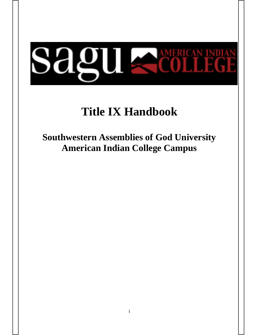# **Sagu Adult**

# **Title IX Handbook**

**Southwestern Assemblies of God University American Indian College Campus**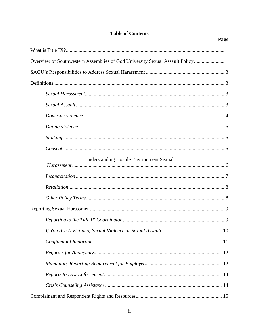# **Table of Contents**

Page

| Overview of Southwestern Assemblies of God University Sexual Assault Policy  1 |
|--------------------------------------------------------------------------------|
|                                                                                |
|                                                                                |
|                                                                                |
|                                                                                |
|                                                                                |
|                                                                                |
|                                                                                |
|                                                                                |
| <b>Understanding Hostile Environment Sexual</b>                                |
|                                                                                |
|                                                                                |
|                                                                                |
|                                                                                |
|                                                                                |
|                                                                                |
|                                                                                |
|                                                                                |
|                                                                                |
|                                                                                |
|                                                                                |
|                                                                                |
|                                                                                |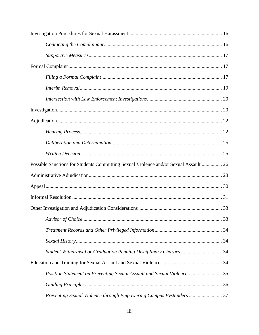| Possible Sanctions for Students Committing Sexual Violence and/or Sexual Assault  26 |  |
|--------------------------------------------------------------------------------------|--|
|                                                                                      |  |
|                                                                                      |  |
|                                                                                      |  |
|                                                                                      |  |
|                                                                                      |  |
|                                                                                      |  |
|                                                                                      |  |
|                                                                                      |  |
|                                                                                      |  |
| Position Statement on Preventing Sexual Assault and Sexual Violence 35               |  |
|                                                                                      |  |
|                                                                                      |  |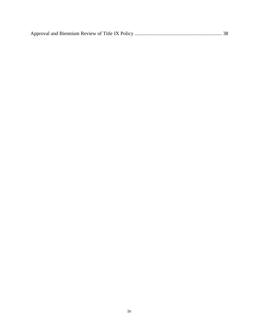|--|--|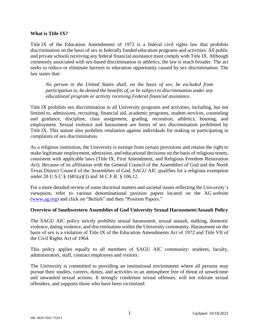#### **What is Title IX?**

Title IX of the Education Amendments of 1972 is a federal civil rights law that prohibits discrimination on the basis of sex in federally funded education programs and activities. All public and private schools receiving any federal financial assistance must comply with Title IX. Although commonly associated with sex-based discrimination in athletics, the law is much broader. The act seeks to reduce or eliminate barriers to education opportunity caused by sex discrimination. The law states that:

*No person in the United States shall, on the basis of sex, be excluded from participation in, be denied the benefits of, or be subject to discrimination under any educational program or activity receiving Federal financial assistance.*

Title IX prohibits sex discrimination in all University programs and activities, including, but not limited to, admissions, recruiting, financial aid, academic programs, student services, counseling and guidance, discipline, class assignment, grading, recreation, athletics, housing, and employment. Sexual violence and harassment are forms of sex discrimination prohibited by Title IX. This statute also prohibits retaliation against individuals for making or participating in complaints of sex discrimination.

As a religious institution, the University is exempt from certain provisions and retains the right to make legitimate employment, admission, and educational decisions on the basis of religious tenets, consistent with applicable laws (Title IX, First Amendment, and Religious Freedom Restoration Act). Because of its affiliation with the General Council of the Assemblies of God and the North Texas District Council of the Assemblies of God, SAGU AIC qualifies for a religious exemption under 20 U.S.C § 1681(a)(3) and 34 C.F.R. § 106.12.

For a more detailed review of some doctrinal matters and societal issues reflecting the University's viewpoint, refer to various denominational position papers located on the AG website [\(www.ag.org\)](http://www.ag.org/) and click on "Beliefs" and then "Position Papers."

# **Overview of Southwestern Assemblies of God University Sexual Harassment/Assault Policy**

The SAGU AIC policy strictly prohibits sexual harassment, sexual assault, stalking, domestic violence, dating violence, and discrimination within the University community. Harassment on the basis of sex is a violation of Title IX of the Education Amendments Act of 1972 and Title VII of the Civil Rights Act of 1964.

This policy applies equally to all members of SAGU AIC community: students, faculty, administrators, staff, contract employees and visitors.

The University is committed to providing an institutional environment where all persons may pursue their studies, careers, duties, and activities in an atmosphere free of threat of unwelcome and unwanted sexual actions. It strongly condemns sexual offenses, will not tolerate sexual offenders, and supports those who have been victimized.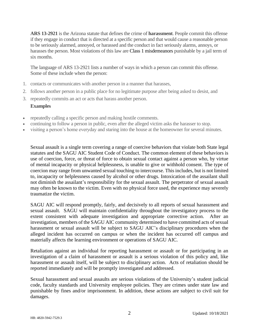**ARS 13-2921** is the Arizona statute that defines the crime of **harassment**. People commit this offense if they engage in conduct that is directed at a specific person and that would cause a reasonable person to be seriously alarmed, annoyed, or harassed and the conduct in fact seriously alarms, annoys, or harasses the person. Most violations of this law are Class 1 misdemeanors punishable by a jail term of six months.

The language of ARS 13-2921 lists a number of ways in which a person can commit this offense. Some of these include when the person:

- 1. contacts or communicates with another person in a manner that harasses,
- 2. follows another person in a public place for no legitimate purpose after being asked to desist, and
- 3. repeatedly commits an act or acts that harass another person.

# **Examples**

- repeatedly calling a specific person and making hostile comments.
- continuing to follow a person in public, even after the alleged victim asks the harasser to stop.
- visiting a person's home everyday and staring into the house at the homeowner for several minutes.

Sexual assault is a single term covering a range of coercive behaviors that violate both State legal statutes and the SAGU AIC Student Code of Conduct. The common element of these behaviors is use of coercion, force, or threat of force to obtain sexual contact against a person who, by virtue of mental incapacity or physical helplessness, is unable to give or withhold consent. The type of coercion may range from unwanted sexual touching to intercourse. This includes, but is not limited to, incapacity or helplessness caused by alcohol or other drugs. Intoxication of the assailant shall not diminish the assailant's responsibility for the sexual assault. The perpetrator of sexual assault may often be known to the victim. Even with no physical force used, the experience may severely traumatize the victim.

SAGU AIC will respond promptly, fairly, and decisively to all reports of sexual harassment and sexual assault. SAGU will maintain confidentiality throughout the investigatory process to the extent consistent with adequate investigation and appropriate corrective action. After an investigation, members of the SAGU AIC community determined to have committed acts of sexual harassment or sexual assault will be subject to SAGU AIC's disciplinary procedures when the alleged incident has occurred on campus or when the incident has occurred off campus and materially affects the learning environment or operations of SAGU AIC.

Retaliation against an individual for reporting harassment or assault or for participating in an investigation of a claim of harassment or assault is a serious violation of this policy and, like harassment or assault itself, will be subject to disciplinary action. Acts of retaliation should be reported immediately and will be promptly investigated and addressed.

Sexual harassment and sexual assaults are serious violations of the University's student judicial code, faculty standards and University employee policies. They are crimes under state law and punishable by fines and/or imprisonment. In addition, these actions are subject to civil suit for damages.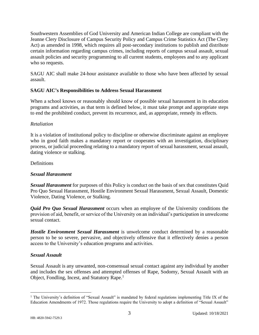Southwestern Assemblies of God University and American Indian College are compliant with the Jeanne Clery Disclosure of Campus Security Policy and Campus Crime Statistics Act (The Clery Act) as amended in 1998, which requires all post-secondary institutions to publish and distribute certain information regarding campus crimes, including reports of campus sexual assault, sexual assault policies and security programming to all current students, employees and to any applicant who so requests.

SAGU AIC shall make 24-hour assistance available to those who have been affected by sexual assault.

# **SAGU AIC's Responsibilities to Address Sexual Harassment**

When a school knows or reasonably should know of possible sexual harassment in its education programs and activities, as that term is defined below, it must take prompt and appropriate steps to end the prohibited conduct, prevent its recurrence, and, as appropriate, remedy its effects.

# *Retaliation*

It is a violation of institutional policy to discipline or otherwise discriminate against an employee who in good faith makes a mandatory report or cooperates with an investigation, disciplinary process, or judicial proceeding relating to a mandatory report of sexual harassment, sexual assault, dating violence or stalking.

# Definitions

# *Sexual Harassment*

*Sexual Harassment* for purposes of this Policy is conduct on the basis of sex that constitutes Quid Pro Quo Sexual Harassment, Hostile Environment Sexual Harassment, Sexual Assault, Domestic Violence, Dating Violence, or Stalking.

*Quid Pro Quo Sexual Harassment* occurs when an employee of the University conditions the provision of aid, benefit, or service of the University on an individual's participation in unwelcome sexual contact.

*Hostile Environment Sexual Harassment* is unwelcome conduct determined by a reasonable person to be so severe, pervasive, and objectively offensive that it effectively denies a person access to the University's education programs and activities.

# *Sexual Assault*

Sexual Assault is any unwanted, non-consensual sexual contact against any individual by another and includes the sex offenses and attempted offenses of Rape, Sodomy, Sexual Assault with an Object, Fondling, Incest, and Statutory Rape.<sup>1</sup>

<sup>&</sup>lt;sup>1</sup> The University's definition of "Sexual Assault" is mandated by federal regulations implementing Title IX of the Education Amendments of 1972. Those regulations require the University to adopt a definition of "Sexual Assault"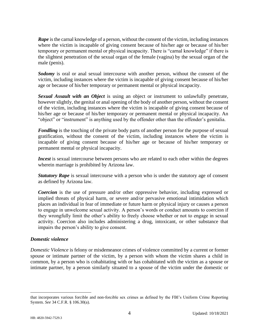**Rape** is the carnal knowledge of a person, without the consent of the victim, including instances where the victim is incapable of giving consent because of his/her age or because of his/her temporary or permanent mental or physical incapacity. There is "carnal knowledge" if there is the slightest penetration of the sexual organ of the female (vagina) by the sexual organ of the male (penis).

*Sodomy* is oral or anal sexual intercourse with another person, without the consent of the victim, including instances where the victim is incapable of giving consent because of his/her age or because of his/her temporary or permanent mental or physical incapacity.

*Sexual Assault with an Object* is using an object or instrument to unlawfully penetrate, however slightly, the genital or anal opening of the body of another person, without the consent of the victim, including instances where the victim is incapable of giving consent because of his/her age or because of his/her temporary or permanent mental or physical incapacity. An "object" or "instrument" is anything used by the offender other than the offender's genitalia.

*Fondling* is the touching of the private body parts of another person for the purpose of sexual gratification, without the consent of the victim, including instances where the victim is incapable of giving consent because of his/her age or because of his/her temporary or permanent mental or physical incapacity.

*Incest* is sexual intercourse between persons who are related to each other within the degrees wherein marriage is prohibited by Arizona law.

*Statutory Rape* is sexual intercourse with a person who is under the statutory age of consent as defined by Arizona law.

*Coercion* is the use of pressure and/or other oppressive behavior, including expressed or implied threats of physical harm, or severe and/or pervasive emotional intimidation which places an individual in fear of immediate or future harm or physical injury or causes a person to engage in unwelcome sexual activity. A person's words or conduct amounts to coercion if they wrongfully limit the other's ability to freely choose whether or not to engage in sexual activity. Coercion also includes administering a drug, intoxicant, or other substance that impairs the person's ability to give consent.

# *Domestic violence*

*Domestic Violence* is felony or misdemeanor crimes of violence committed by a current or former spouse or intimate partner of the victim, by a person with whom the victim shares a child in common, by a person who is cohabitating with or has cohabitated with the victim as a spouse or intimate partner, by a person similarly situated to a spouse of the victim under the domestic or

that incorporates various forcible and non-forcible sex crimes as defined by the FBI's Uniform Crime Reporting System. *See* 34 C.F.R. § 106.30(a).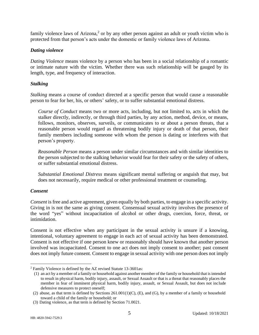family violence laws of Arizona,<sup>2</sup> or by any other person against an adult or youth victim who is protected from that person's acts under the domestic or family violence laws of Arizona.

# *Dating violence*

*Dating Violence* means violence by a person who has been in a social relationship of a romantic or intimate nature with the victim. Whether there was such relationship will be gauged by its length, type, and frequency of interaction.

# *Stalking*

*Stalking* means a course of conduct directed at a specific person that would cause a reasonable person to fear for her, his, or others' safety, or to suffer substantial emotional distress.

*Course of Conduct* means two or more acts, including, but not limited to, acts in which the stalker directly, indirectly, or through third parties, by any action, method, device, or means, follows, monitors, observes, surveils, or communicates to or about a person threats, that a reasonable person would regard as threatening bodily injury or death of that person, their family members including someone with whom the person is dating or interferes with that person's property.

*Reasonable Person* means a person under similar circumstances and with similar identities to the person subjected to the stalking behavior would fear for their safety or the safety of others, or suffer substantial emotional distress.

*Substantial Emotional Distress* means significant mental suffering or anguish that may, but does not necessarily, require medical or other professional treatment or counseling.

# *Consent*

*Consent* is free and active agreement, given equally by both parties, to engage in a specific activity. Giving in is not the same as giving consent. Consensual sexual activity involves the presence of the word "yes" without incapacitation of alcohol or other drugs, coercion, force, threat, or intimidation.

Consent is not effective when any participant in the sexual activity is unsure if a knowing, intentional, voluntary agreement to engage in each act of sexual activity has been demonstrated. Consent is not effective if one person knew or reasonably should have known that another person involved was incapacitated. Consent to one act does not imply consent to another; past consent does not imply future consent. Consent to engage in sexual activity with one person does not imply

<sup>2</sup> Family Violence is defined by the AZ revised Statute 13-3601as:

<sup>(1)</sup> an act by a member of a family or household against another member of the family or household that is intended to result in physical harm, bodily injury, assault, or Sexual Assault or that is a threat that reasonably places the member in fear of imminent physical harm, bodily injury, assault, or Sexual Assault, but does not include defensive measures to protect oneself;

<sup>(2)</sup> abuse, as that term is defined by Sections  $261.001(1)(C)$ , (E), and (G), by a member of a family or household toward a child of the family or household; or

<sup>(3)</sup> Dating violence, as that term is defined by Section 71.0021.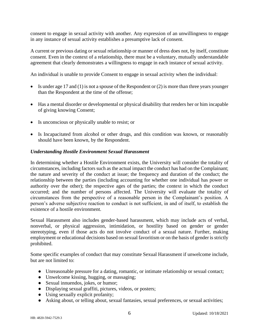consent to engage in sexual activity with another. Any expression of an unwillingness to engage in any instance of sexual activity establishes a presumptive lack of consent.

A current or previous dating or sexual relationship or manner of dress does not, by itself, constitute consent. Even in the context of a relationship, there must be a voluntary, mutually understandable agreement that clearly demonstrates a willingness to engage in each instance of sexual activity.

An individual is unable to provide Consent to engage in sexual activity when the individual:

- Is under age 17 and (1) is not a spouse of the Respondent or (2) is more than three years younger than the Respondent at the time of the offense;
- Has a mental disorder or developmental or physical disability that renders her or him incapable of giving knowing Consent;
- Is unconscious or physically unable to resist; or
- Is Incapacitated from alcohol or other drugs, and this condition was known, or reasonably should have been known, by the Respondent.

# *Understanding Hostile Environment Sexual Harassment*

In determining whether a Hostile Environment exists, the University will consider the totality of circumstances, including factors such as the actual impact the conduct has had on the Complainant; the nature and severity of the conduct at issue; the frequency and duration of the conduct; the relationship between the parties (including accounting for whether one individual has power or authority over the other); the respective ages of the parties; the context in which the conduct occurred; and the number of persons affected. The University will evaluate the totality of circumstances from the perspective of a reasonable person in the Complainant's position. A person's adverse subjective reaction to conduct is not sufficient, in and of itself, to establish the existence of a hostile environment.

Sexual Harassment also includes gender-based harassment, which may include acts of verbal, nonverbal, or physical aggression, intimidation, or hostility based on gender or gender stereotyping, even if those acts do not involve conduct of a sexual nature. Further, making employment or educational decisions based on sexual favoritism or on the basis of gender is strictly prohibited.

Some specific examples of conduct that may constitute Sexual Harassment if unwelcome include, but are not limited to:

- Unreasonable pressure for a dating, romantic, or intimate relationship or sexual contact;
- Unwelcome kissing, hugging, or massaging;
- Sexual innuendos, jokes, or humor;
- Displaying sexual graffiti, pictures, videos, or posters;
- Using sexually explicit profanity;
- Asking about, or telling about, sexual fantasies, sexual preferences, or sexual activities;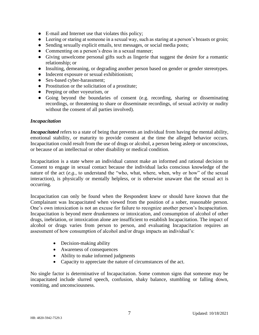- E-mail and Internet use that violates this policy;
- Leering or staring at someone in a sexual way, such as staring at a person's breasts or groin;
- Sending sexually explicit emails, text messages, or social media posts;
- Commenting on a person's dress in a sexual manner;
- Giving unwelcome personal gifts such as lingerie that suggest the desire for a romantic relationship; or
- Insulting, demeaning, or degrading another person based on gender or gender stereotypes.
- Indecent exposure or sexual exhibitionism;
- Sex-based cyber-harassment;
- Prostitution or the solicitation of a prostitute;
- Peeping or other voyeurism, or
- Going beyond the boundaries of consent (e.g. recording, sharing or disseminating recordings, or threatening to share or disseminate recordings, of sexual activity or nudity without the consent of all parties involved).

#### *Incapacitation*

*Incapacitated* refers to a state of being that prevents an individual from having the mental ability, emotional stability, or maturity to provide consent at the time the alleged behavior occurs. Incapacitation could result from the use of drugs or alcohol, a person being asleep or unconscious, or because of an intellectual or other disability or medical condition.

Incapacitation is a state where an individual cannot make an informed and rational decision to Consent to engage in sexual contact because the individual lacks conscious knowledge of the nature of the act (*e.g.*, to understand the "who, what, where, when, why or how" of the sexual interaction), is physically or mentally helpless, or is otherwise unaware that the sexual act is occurring.

Incapacitation can only be found when the Respondent knew or should have known that the Complainant was Incapacitated when viewed from the position of a sober, reasonable person. One's own intoxication is not an excuse for failure to recognize another person's Incapacitation. Incapacitation is beyond mere drunkenness or intoxication, and consumption of alcohol of other drugs, inebriation, or intoxication alone are insufficient to establish Incapacitation. The impact of alcohol or drugs varies from person to person, and evaluating Incapacitation requires an assessment of how consumption of alcohol and/or drugs impacts an individual's:

- Decision-making ability
- Awareness of consequences
- Ability to make informed judgments
- Capacity to appreciate the nature of circumstances of the act.

No single factor is determinative of Incapacitation. Some common signs that someone may be incapacitated include slurred speech, confusion, shaky balance, stumbling or falling down, vomiting, and unconsciousness.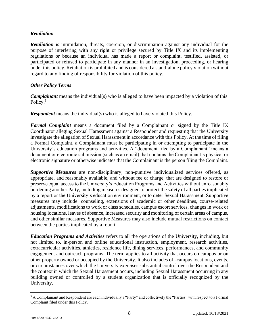# *Retaliation*

*Retaliation* is intimidation, threats, coercion, or discrimination against any individual for the purpose of interfering with any right or privilege secured by Title IX and its implementing regulations or because an individual has made a report or complaint, testified, assisted, or participated or refused to participate in any manner in an investigation, proceeding, or hearing under this policy. Retaliation is prohibited and is considered a stand-alone policy violation without regard to any finding of responsibility for violation of this policy.

# *Other Policy Terms*

*Complainant* means the individual(s) who is alleged to have been impacted by a violation of this Policy.<sup>3</sup>

*Respondent* means the individual(s) who is alleged to have violated this Policy.

*Formal Complaint* means a document filed by a Complainant or signed by the Title IX Coordinator alleging Sexual Harassment against a Respondent and requesting that the University investigate the allegation of Sexual Harassment in accordance with this Policy. At the time of filing a Formal Complaint, a Complainant must be participating in or attempting to participate in the University's education programs and activities. A "document filed by a Complainant" means a document or electronic submission (such as an email) that contains the Complainant's physical or electronic signature or otherwise indicates that the Complainant is the person filing the Complaint.

*Supportive Measures* are non-disciplinary, non-punitive individualized services offered, as appropriate, and reasonably available, and without fee or charge, that are designed to restore or preserve equal access to the University's Education Programs and Activities without unreasonably burdening another Party, including measures designed to protect the safety of all parties implicated by a report or the University's education environment, or to deter Sexual Harassment. Supportive measures may include: counseling, extensions of academic or other deadlines, course-related adjustments, modifications to work or class schedules, campus escort services, changes in work or housing locations, leaves of absence, increased security and monitoring of certain areas of campus, and other similar measures. Supportive Measures may also include mutual restrictions on contact between the parties implicated by a report.

*Education Programs and Activities* refers to all the operations of the University, including, but not limited to, in-person and online educational instruction, employment, research activities, extracurricular activities, athletics, residence life, dining services, performances, and community engagement and outreach programs. The term applies to all activity that occurs on campus or on other property owned or occupied by the University. It also includes off-campus locations, events, or circumstances over which the University exercises substantial control over the Respondent and the context in which the Sexual Harassment occurs, including Sexual Harassment occurring in any building owned or controlled by a student organization that is officially recognized by the University.

<sup>&</sup>lt;sup>3</sup> A Complainant and Respondent are each individually a "Party" and collectively the "Parties" with respect to a Formal Complaint filed under this Policy.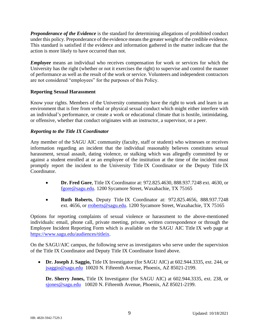*Preponderance of the Evidence* is the standard for determining allegations of prohibited conduct under this policy. Preponderance of the evidence means the greater weight of the credible evidence. This standard is satisfied if the evidence and information gathered in the matter indicate that the action is more likely to have occurred than not.

*Employee* means an individual who receives compensation for work or services for which the University has the right (whether or not it exercises the right) to supervise and control the manner of performance as well as the result of the work or service. Volunteers and independent contractors are not considered "employees" for the purposes of this Policy.

# **Reporting Sexual Harassment**

Know your rights. Members of the University community have the right to work and learn in an environment that is free from verbal or physical sexual conduct which might either interfere with an individual's performance, or create a work or educational climate that is hostile, intimidating, or offensive, whether that conduct originates with an instructor, a supervisor, or a peer.

# *Reporting to the Title IX Coordinator*

Any member of the SAGU AIC community (faculty, staff or student) who witnesses or receives information regarding an incident that the individual reasonably believes constitutes sexual harassment, sexual assault, dating violence, or stalking which was allegedly committed by or against a student enrolled at or an employee of the institution at the time of the incident must promptly report the incident to the University Title IX Coordinator or the Deputy Title IX Coordinator.

- **Dr. Fred Gore**, Title IX Coordinator at: 972.825.4630, 888.937.7248 ext. 4630, or [fgore@sagu.edu.](mailto:fgore@sagu.edu) 1200 Sycamore Street, Waxahachie, TX 75165
- **Ruth Roberts**, Deputy Title IX Coordinator at: 972.825.4656, 888.937.7248 ext. 4656, or [rroberts@sagu.edu.](mailto:rroberts@sagu.edu) 1200 Sycamore Street, Waxahachie, TX 75165

Options for reporting complaints of sexual violence or harassment to the above-mentioned individuals: email, phone call, private meeting, private, written correspondence or through the Employee Incident Reporting Form which is available on the SAGU AIC Title IX web page at [https://www.sagu.edu/audiences/titleix.](https://www.sagu.edu/audiences/titleix)

On the SAGU/AIC campus, the following serve as investigators who serve under the supervision of the Title IX Coordinator and Deputy Title IX Coordinator listed above.

• **Dr. Joseph J. Saggio,** Title IX Investigator (for SAGU AIC) at 602.944.3335, ext. 244, or [jsaggio@sagu.edu](mailto:jsaggio@sagu.edu) 10020 N. Fifteenth Avenue, Phoenix, AZ 85021-2199.

**Dr. Sherry Jones,** Title IX Investigator (for SAGU AIC) at 602.944.3335, ext. 238, or [sjones@sagu.edu](mailto:sjones@sagu.edu) 10020 N. Fifteenth Avenue, Phoenix, AZ 85021-2199.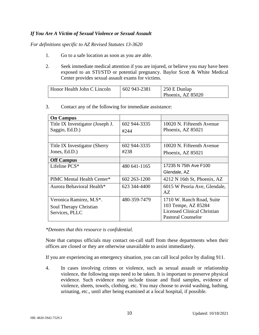# *If You Are A Victim of Sexual Violence or Sexual Assault*

*For definitions specific to AZ Revised Statutes 13-3620*

- 1. Go to a safe location as soon as you are able.
- 2. Seek immediate medical attention if you are injured, or believe you may have been exposed to an STI/STD or potential pregnancy. Baylor Scott & White Medical Center provides sexual assault exams for victims.

| Honor Health John C Lincoln | 602 943-2381 | $\vert$ 250 E Dunlap |
|-----------------------------|--------------|----------------------|
|                             |              | Phoenix, AZ 85020    |

| <b>On Campus</b>                 |                |                                    |
|----------------------------------|----------------|------------------------------------|
| Title IX Investigator (Joseph J. | 602 944-3335   | 10020 N. Fifteenth Avenue          |
| Saggio, Ed.D.)                   | #244           | Phoenix, AZ 85021                  |
|                                  |                |                                    |
| Title IX Investigator (Sherry    | 602 944-3335   | 10020 N. Fifteenth Avenue          |
| Jones, Ed.D.)                    | #238           | Phoenix, AZ 85021                  |
| <b>Off Campus</b>                |                |                                    |
| Lifeline PCS*                    | 480 641 - 1165 | 17235 N 75th Ave F100              |
|                                  |                | Glendale, AZ                       |
| PIMC Mental Health Center*       | 602 263-1200   | 4212 N 16th St, Phoenix, AZ        |
| Aurora Behavioral Health*        | 623 344-4400   | 6015 W Peoria Ave, Glendale,       |
|                                  |                | AZ.                                |
| Veronica Ramirez, M.S*.          | 480-359-7479   | 1710 W. Ranch Road, Suite          |
| Soul Therapy Christian           |                | 103 Tempe, AZ 85284                |
| Services, PLLC                   |                | <b>Licensed Clinical Christian</b> |
|                                  |                | <b>Pastoral Counselor</b>          |

3. Contact any of the following for immediate assistance:

*\*Denotes that this resource is confidential.*

Note that campus officials may contact on-call staff from these departments when their offices are closed or they are otherwise unavailable to assist immediately.

If you are experiencing an emergency situation, you can call local police by dialing 911.

4. In cases involving crimes or violence, such as sexual assault or relationship violence, the following steps need to be taken. It is important to preserve physical evidence. Such evidence may include tissue and fluid samples, evidence of violence, sheets, towels, clothing, etc. You may choose to avoid washing, bathing, urinating, etc., until after being examined at a local hospital, if possible.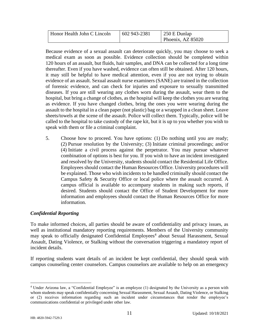| Honor Health John C Lincoln | 602 943-2381 | $\vert$ 250 E Dunlap |
|-----------------------------|--------------|----------------------|
|                             |              | Phoenix, AZ 85020    |

Because evidence of a sexual assault can deteriorate quickly, you may choose to seek a medical exam as soon as possible. Evidence collection should be completed within 120 hours of an assault, but fluids, hair samples, and DNA can be collected for a long time thereafter. Even if you have washed, evidence can often still be obtained. After 120 hours, it may still be helpful to have medical attention, even if you are not trying to obtain evidence of an assault. Sexual assault nurse examiners (SANE) are trained in the collection of forensic evidence, and can check for injuries and exposure to sexually transmitted diseases. If you are still wearing any clothes worn during the assault, wear them to the hospital, but bring a change of clothes, as the hospital will keep the clothes you are wearing as evidence. If you have changed clothes, bring the ones you were wearing during the assault to the hospital in a clean paper (not plastic) bag or a wrapped in a clean sheet. Leave sheets/towels at the scene of the assault. Police will collect them. Typically, police will be called to the hospital to take custody of the rape kit, but it is up to you whether you wish to speak with them or file a criminal complaint.

5. Choose how to proceed. You have options: (1) Do nothing until you are ready; (2) Pursue resolution by the University; (3) Initiate criminal proceedings; and/or (4) Initiate a civil process against the perpetrator. You may pursue whatever combination of options is best for you. If you wish to have an incident investigated and resolved by the University, students should contact the Residential Life Office. Employees should contact the Human Resources Office. University procedures will be explained. Those who wish incidents to be handled criminally should contact the Campus Safety & Security Office or local police where the assault occurred. A campus official is available to accompany students in making such reports, if desired. Students should contact the Office of Student Development for more information and employees should contact the Human Resources Office for more information.

# *Confidential Reporting*

To make informed choices, all parties should be aware of confidentiality and privacy issues, as well as institutional mandatory reporting requirements. Members of the University community may speak to officially designated Confidential Employees<sup>4</sup> about Sexual Harassment, Sexual Assault, Dating Violence, or Stalking without the conversation triggering a mandatory report of incident details.

If reporting students want details of an incident be kept confidential, they should speak with campus counseling center counselors. Campus counselors are available to help on an emergency

<sup>4</sup> Under Arizona law, a "Confidential Employee" is an employee (1) designated by the University as a person with whom students may speak confidentially concerning Sexual Harassment, Sexual Assault, Dating Violence, or Stalking or (2) receives information regarding such an incident under circumstances that render the employee's communications confidential or privileged under other law.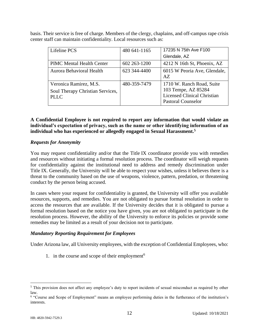basis. Their service is free of charge. Members of the clergy, chaplains, and off-campus rape crisis center staff can maintain confidentiality. Local resources such as:

| Lifeline PCS                                                              | 480 641-1165 | 17235 N 75th Ave F100                                                                                               |
|---------------------------------------------------------------------------|--------------|---------------------------------------------------------------------------------------------------------------------|
|                                                                           |              | Glendale, AZ                                                                                                        |
| <b>PIMC Mental Health Center</b>                                          | 602 263-1200 | 4212 N 16th St, Phoenix, AZ                                                                                         |
| Aurora Behavioral Health                                                  | 623 344-4400 | 6015 W Peoria Ave, Glendale,<br>AZ                                                                                  |
| Veronica Ramirez, M.S.<br>Soul Therapy Christian Services,<br><b>PLLC</b> | 480-359-7479 | 1710 W. Ranch Road, Suite<br>103 Tempe, AZ 85284<br><b>Licensed Clinical Christian</b><br><b>Pastoral Counselor</b> |

**A Confidential Employee is not required to report any information that would violate an individual's expectation of privacy, such as the name or other identifying information of an individual who has experienced or allegedly engaged in Sexual Harassment.<sup>5</sup>**

# *Requests for Anonymity*

You may request confidentiality and/or that the Title IX coordinator provide you with remedies and resources without initiating a formal resolution process. The coordinator will weigh requests for confidentiality against the institutional need to address and remedy discrimination under Title IX. Generally, the University will be able to respect your wishes, unless it believes there is a threat to the community based on the use of weapons, violence, pattern, predation, or threatening conduct by the person being accused.

In cases where your request for confidentiality is granted, the University will offer you available resources, supports, and remedies. You are not obligated to pursue formal resolution in order to access the resources that are available. If the University decides that it is obligated to pursue a formal resolution based on the notice you have given, you are not obligated to participate in the resolution process. However, the ability of the University to enforce its policies or provide some remedies may be limited as a result of your decision not to participate.

# *Mandatory Reporting Requirement for Employees*

Under Arizona law, all University employees, with the exception of Confidential Employees, who:

1. in the course and scope of their employment<sup>6</sup>

<sup>&</sup>lt;sup>5</sup> This provision does not affect any employee's duty to report incidents of sexual misconduct as required by other law.

<sup>6</sup> "Course and Scope of Employment" means an employee performing duties in the furtherance of the institution's interests.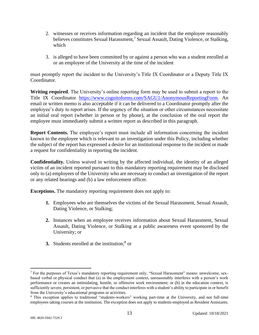- 2. witnesses or receives information regarding an incident that the employee reasonably believes constitutes Sexual Harassment,<sup>7</sup> Sexual Assault, Dating Violence, or Stalking, which
- 3. is alleged to have been committed by or against a person who was a student enrolled at or an employee of the University at the time of the incident

must promptly report the incident to the University's Title IX Coordinator or a Deputy Title IX Coordinator.

**Writing required**. The University's online reporting form may be used to submit a report to the Title IX Coordinator [https://www.cognitoforms.com/SAGU1/AnonymousReportingForm.](https://www.cognitoforms.com/SAGU1/AnonymousReportingForm) An email or written memo is also acceptable if it can be delivered to a Coordinator promptly after the employee's duty to report arises. If the urgency of the situation or other circumstances necessitate an initial oral report (whether in person or by phone), at the conclusion of the oral report the employee must immediately submit a written report as described in this paragraph.

**Report Contents.** The employee's report must include all information concerning the incident known to the employee which is relevant to an investigation under this Policy, including whether the subject of the report has expressed a desire for an institutional response to the incident or made a request for confidentiality in reporting the incident.

**Confidentiality.** Unless waived in writing by the affected individual, the identity of an alleged victim of an incident reported pursuant to this mandatory reporting requirement may be disclosed only to (a) employees of the University who are necessary to conduct an investigation of the report or any related hearings and (b) a law enforcement officer.

**Exceptions.** The mandatory reporting requirement does not apply to:

- **1.** Employees who are themselves the victims of the Sexual Harassment, Sexual Assault, Dating Violence, or Stalking;
- **2.** Instances when an employee receives information about Sexual Harassment, Sexual Assault, Dating Violence, or Stalking at a public awareness event sponsored by the University; or
- **3.** Students enrolled at the institution;<sup>8</sup> or

<sup>7</sup> For the purposes of Texas's mandatory reporting requirement only, "Sexual Harassment" means: unwelcome, sexbased verbal or physical conduct that (a) in the employment context, unreasonably interferes with a person's work performance or creates an intimidating, hostile, or offensive work environment; or (b) in the education context, is sufficiently severe, persistent, or pervasive that the conduct interferes with a student's ability to participate in or benefit from the University's educational programs or activities.

<sup>8</sup> This exception applies to traditional "students-workers" working part-time at the University, and not full-time employees taking courses at the institution. The exception does not apply to students employed as Resident Assistants.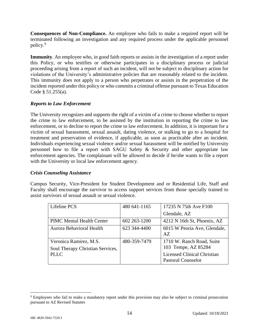**Consequences of Non-Compliance.** An employee who fails to make a required report will be terminated following an investigation and any required process under the applicable personnel policy.<sup>9</sup>

**Immunity**. An employee who, in good faith reports or assists in the investigation of a report under this Policy, or who testifies or otherwise participates in a disciplinary process or judicial proceeding arising from a report of such an incident, will not be subject to disciplinary action for violations of the University's administrative policies that are reasonably related to the incident. This immunity does not apply to a person who perpetrates or assists in the perpetration of the incident reported under this policy or who commits a criminal offense pursuant to Texas Education Code § 51.255(a).

# *Reports to Law Enforcement*

The University recognizes and supports the right of a victim of a crime to choose whether to report the crime to law enforcement, to be assisted by the institution in reporting the crime to law enforcement, or to decline to report the crime to law enforcement. In addition, it is important for a victim of sexual harassment, sexual assault, dating violence, or stalking to go to a hospital for treatment and preservation of evidence, if applicable, as soon as practicable after an incident. Individuals experiencing sexual violence and/or sexual harassment will be notified by University personnel how to file a report with SAGU Safety & Security and other appropriate law enforcement agencies. The complainant will be allowed to decide if he/she wants to file a report with the University or local law enforcement agency.

# *Crisis Counseling Assistance*

Campus Security, Vice-President for Student Development and or Residential Life, Staff and Faculty shall encourage the survivor to access support services from those specially trained to assist survivors of sexual assault or sexual violence.

| Lifeline PCS                     | 480 641-1165 | 17235 N 75th Ave F100              |
|----------------------------------|--------------|------------------------------------|
|                                  |              | Glendale, AZ                       |
| <b>PIMC Mental Health Center</b> | 602 263-1200 | 4212 N 16th St, Phoenix, AZ        |
| Aurora Behavioral Health         | 623 344-4400 | 6015 W Peoria Ave, Glendale,       |
|                                  |              | AZ                                 |
| Veronica Ramirez, M.S.           | 480-359-7479 | 1710 W. Ranch Road, Suite          |
| Soul Therapy Christian Services, |              | 103 Tempe, AZ 85284                |
| <b>PLLC</b>                      |              | <b>Licensed Clinical Christian</b> |
|                                  |              | <b>Pastoral Counselor</b>          |

<sup>&</sup>lt;sup>9</sup> Employees who fail to make a mandatory report under this provision may also be subject to criminal prosecution pursuant to AZ Revised Statutes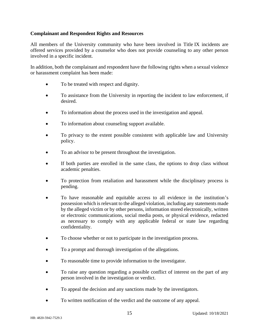# **Complainant and Respondent Rights and Resources**

All members of the University community who have been involved in Title IX incidents are offered services provided by a counselor who does not provide counseling to any other person involved in a specific incident.

In addition, both the complainant and respondent have the following rights when a sexual violence or harassment complaint has been made:

- To be treated with respect and dignity.
- To assistance from the University in reporting the incident to law enforcement, if desired.
- To information about the process used in the investigation and appeal.
- To information about counseling support available.
- To privacy to the extent possible consistent with applicable law and University policy.
- To an advisor to be present throughout the investigation.
- If both parties are enrolled in the same class, the options to drop class without academic penalties.
- To protection from retaliation and harassment while the disciplinary process is pending.
- To have reasonable and equitable access to all evidence in the institution's possession which is relevant to the alleged violation, including any statements made by the alleged victim or by other persons, information stored electronically, written or electronic communications, social media posts, or physical evidence, redacted as necessary to comply with any applicable federal or state law regarding confidentiality.
- To choose whether or not to participate in the investigation process.
- To a prompt and thorough investigation of the allegations.
- To reasonable time to provide information to the investigator.
- To raise any question regarding a possible conflict of interest on the part of any person involved in the investigation or verdict.
- To appeal the decision and any sanctions made by the investigators.
- To written notification of the verdict and the outcome of any appeal.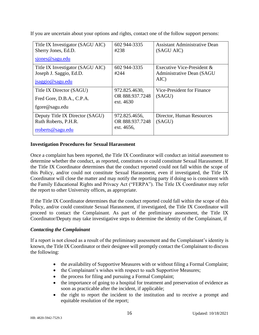If you are uncertain about your options and rights, contact one of the follow support persons:

| Title IX Investigator (SAGU AIC)<br>Sherry Jones, Ed.D.                         | 602 944-3335<br>#238                           | Assistant Administrative Dean<br>(SAGU AIC)                         |
|---------------------------------------------------------------------------------|------------------------------------------------|---------------------------------------------------------------------|
| sjones@sagu.edu                                                                 |                                                |                                                                     |
| Title IX Investigator (SAGU AIC)<br>Joseph J. Saggio, Ed.D.<br>jsaggio@sagu.edu | 602 944-3335<br>#244                           | Executive Vice-President $\&$<br>Administrative Dean (SAGU)<br>AIC) |
| Title IX Director (SAGU)<br>Fred Gore, D.B.A., C.P.A.<br>fgore@sagu.edu         | 972.825.4630,<br>OR 888.937.7248<br>ext. 4630  | Vice-President for Finance<br>(SAGU)                                |
| Deputy Title IX Director (SAGU)<br>Ruth Roberts, P.H.R.<br>rroberts@sagu.edu    | 972.825.4656,<br>OR 888.937.7248<br>ext. 4656, | Director, Human Resources<br>(SAGU)                                 |

# **Investigation Procedures for Sexual Harassment**

Once a complaint has been reported, the Title IX Coordinator will conduct an initial assessment to determine whether the conduct, as reported, constitutes or could constitute Sexual Harassment. If the Title IX Coordinator determines that the conduct reported could not fall within the scope of this Policy, and/or could not constitute Sexual Harassment, even if investigated, the Title IX Coordinator will close the matter and may notify the reporting party if doing so is consistent with the Family Educational Rights and Privacy Act ("FERPA"). The Title IX Coordinator may refer the report to other University offices, as appropriate.

If the Title IX Coordinator determines that the conduct reported could fall within the scope of this Policy, and/or could constitute Sexual Harassment, if investigated, the Title IX Coordinator will proceed to contact the Complainant. As part of the preliminary assessment, the Title IX Coordinator/Deputy may take investigative steps to determine the identity of the Complainant, if

# *Contacting the Complainant*

If a report is not closed as a result of the preliminary assessment and the Complainant's identity is known, the Title IX Coordinator or their designee will promptly contact the Complainant to discuss the following:

- the availability of Supportive Measures with or without filing a Formal Complaint;
- the Complainant's wishes with respect to such Supportive Measures;
- the process for filing and pursuing a Formal Complaint;
- the importance of going to a hospital for treatment and preservation of evidence as soon as practicable after the incident, if applicable;
- the right to report the incident to the institution and to receive a prompt and equitable resolution of the report;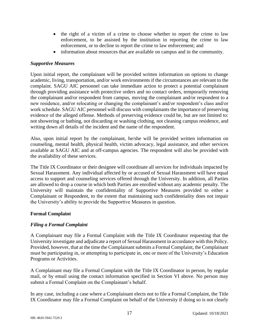- the right of a victim of a crime to choose whether to report the crime to law enforcement, to be assisted by the institution in reporting the crime to law enforcement, or to decline to report the crime to law enforcement; and
- information about resources that are available on campus and in the community.

# *Supportive Measures*

Upon initial report, the complainant will be provided written information on options to change academic, living, transportation, and/or work environments if the circumstances are relevant to the complaint. SAGU AIC personnel can take immediate action to protect a potential complainant through providing assistance with protective orders and no contact orders, temporarily removing the complainant and/or respondent from campus, moving the complainant and/or respondent to a new residence, and/or relocating or changing the complainant's and/or respondent's class and/or work schedule. SAGU AIC personnel will discuss with complainants the importance of preserving evidence of the alleged offense. Methods of preserving evidence could be, but are not limited to: not showering or bathing, not discarding or washing clothing, not cleaning campus residence, and writing down all details of the incident and the name of the respondent.

Also, upon initial report by the complainant, he/she will be provided written information on counseling, mental health, physical health, victim advocacy, legal assistance, and other services available at SAGU AIC and at off-campus agencies. The respondent will also be provided with the availability of these services.

The Title IX Coordinator or their designee will coordinate all services for individuals impacted by Sexual Harassment. Any individual affected by or accused of Sexual Harassment will have equal access to support and counseling services offered through the University. In addition, all Parties are allowed to drop a course in which both Parties are enrolled without any academic penalty. The University will maintain the confidentiality of Supportive Measures provided to either a Complainant or Respondent, to the extent that maintaining such confidentiality does not impair the University's ability to provide the Supportive Measures in question.

# **Formal Complaint**

# *Filing a Formal Complaint*

A Complainant may file a Formal Complaint with the Title IX Coordinator requesting that the University investigate and adjudicate a report of Sexual Harassment in accordance with this Policy. Provided, however, that at the time the Complainant submits a Formal Complaint, the Complainant must be participating in, or attempting to participate in, one or more of the University's Education Programs or Activities.

A Complainant may file a Formal Complaint with the Title IX Coordinator in person, by regular mail, or by email using the contact information specified in Section VI above. No person may submit a Formal Complaint on the Complainant's behalf.

In any case, including a case where a Complainant elects not to file a Formal Complaint, the Title IX Coordinator may file a Formal Complaint on behalf of the University if doing so is not clearly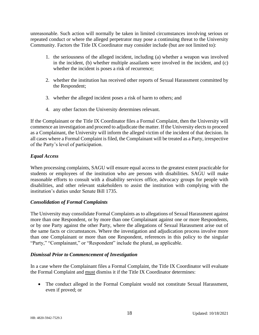unreasonable. Such action will normally be taken in limited circumstances involving serious or repeated conduct or where the alleged perpetrator may pose a continuing threat to the University Community. Factors the Title IX Coordinator may consider include (but are not limited to):

- 1. the seriousness of the alleged incident, including (a) whether a weapon was involved in the incident, (b) whether multiple assailants were involved in the incident, and (c) whether the incident is poses a risk of recurrence;
- 2. whether the institution has received other reports of Sexual Harassment committed by the Respondent;
- 3. whether the alleged incident poses a risk of harm to others; and
- 4. any other factors the University determines relevant.

If the Complainant or the Title IX Coordinator files a Formal Complaint, then the University will commence an investigation and proceed to adjudicate the matter. If the University elects to proceed as a Complainant, the University will inform the alleged victim of the incident of that decision. In all cases where a Formal Complaint is filed, the Complainant will be treated as a Party, irrespective of the Party's level of participation.

# *Equal Access*

When processing complaints, SAGU will ensure equal access to the greatest extent practicable for students or employees of the institution who are persons with disabilities. SAGU will make reasonable efforts to consult with a disability services office, advocacy groups for people with disabilities, and other relevant stakeholders to assist the institution with complying with the institution's duties under Senate Bill 1735.

# *Consolidation of Formal Complaints*

The University may consolidate Formal Complaints as to allegations of Sexual Harassment against more than one Respondent, or by more than one Complainant against one or more Respondents, or by one Party against the other Party, where the allegations of Sexual Harassment arise out of the same facts or circumstances. Where the investigation and adjudication process involve more than one Complainant or more than one Respondent, references in this policy to the singular "Party," "Complainant," or "Respondent" include the plural, as applicable.

# *Dismissal Prior to Commencement of Investigation*

In a case where the Complainant files a Formal Complaint, the Title IX Coordinator will evaluate the Formal Complaint and must dismiss it if the Title IX Coordinator determines:

• The conduct alleged in the Formal Complaint would not constitute Sexual Harassment, even if proved; or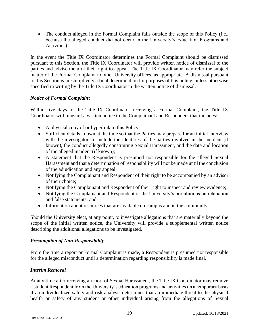• The conduct alleged in the Formal Complaint falls outside the scope of this Policy (i.e., because the alleged conduct did not occur in the University's Education Programs and Activities).

In the event the Title IX Coordinator determines the Formal Complaint should be dismissed pursuant to this Section, the Title IX Coordinator will provide written notice of dismissal to the parties and advise them of their right to appeal. The Title IX Coordinator may refer the subject matter of the Formal Complaint to other University offices, as appropriate. A dismissal pursuant to this Section is presumptively a final determination for purposes of this policy, unless otherwise specified in writing by the Title IX Coordinator in the written notice of dismissal.

# *Notice of Formal Complaint*

Within five days of the Title IX Coordinator receiving a Formal Complaint, the Title IX Coordinator will transmit a written notice to the Complainant and Respondent that includes:

- A physical copy of or hyperlink to this Policy;
- Sufficient details known at the time so that the Parties may prepare for an initial interview with the investigator, to include the identities of the parties involved in the incident (if known), the conduct allegedly constituting Sexual Harassment, and the date and location of the alleged incident (if known);
- A statement that the Respondent is presumed not responsible for the alleged Sexual Harassment and that a determination of responsibility will not be made until the conclusion of the adjudication and any appeal;
- Notifying the Complainant and Respondent of their right to be accompanied by an advisor of their choice;
- Notifying the Complainant and Respondent of their right to inspect and review evidence;
- Notifying the Complainant and Respondent of the University's prohibitions on retaliation and false statements; and
- Information about resources that are available on campus and in the community.

Should the University elect, at any point, to investigate allegations that are materially beyond the scope of the initial written notice, the University will provide a supplemental written notice describing the additional allegations to be investigated.

# *Presumption of Non-Responsibility*

From the time a report or Formal Complaint is made, a Respondent is presumed not responsible for the alleged misconduct until a determination regarding responsibility is made final.

# *Interim Removal*

At any time after receiving a report of Sexual Harassment, the Title IX Coordinator may remove a student Respondent from the University's education programs and activities on a temporary basis if an individualized safety and risk analysis determines that an immediate threat to the physical health or safety of any student or other individual arising from the allegations of Sexual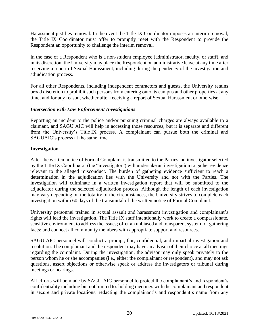Harassment justifies removal. In the event the Title IX Coordinator imposes an interim removal, the Title IX Coordinator must offer to promptly meet with the Respondent to provide the Respondent an opportunity to challenge the interim removal.

In the case of a Respondent who is a non-student employee (administrator, faculty, or staff), and in its discretion, the University may place the Respondent on administrative leave at any time after receiving a report of Sexual Harassment, including during the pendency of the investigation and adjudication process.

For all other Respondents, including independent contractors and guests, the University retains broad discretion to prohibit such persons from entering onto its campus and other properties at any time, and for any reason, whether after receiving a report of Sexual Harassment or otherwise.

# *Intersection with Law Enforcement Investigations*

Reporting an incident to the police and/or pursuing criminal charges are always available to a claimant, and SAGU AIC will help in accessing those resources, but it is separate and different from the University's Title IX process. A complainant can pursue both the criminal and SAGUAIC's process at the same time.

# **Investigation**

After the written notice of Formal Complaint is transmitted to the Parties, an investigator selected by the Title IX Coordinator (the "investigator") will undertake an investigation to gather evidence relevant to the alleged misconduct. The burden of gathering evidence sufficient to reach a determination in the adjudication lies with the University and not with the Parties. The investigation will culminate in a written investigation report that will be submitted to the adjudicator during the selected adjudication process. Although the length of each investigation may vary depending on the totality of the circumstances, the University strives to complete each investigation within 60 days of the transmittal of the written notice of Formal Complaint.

University personnel trained in sexual assault and harassment investigation and complainant's rights will lead the investigation. The Title IX staff intentionally work to create a compassionate, sensitive environment to address the issues; offer an unbiased and transparent system for gathering facts; and connect all community members with appropriate support and resources.

SAGU AIC personnel will conduct a prompt, fair, confidential, and impartial investigation and resolution. The complainant and the respondent may have an advisor of their choice at all meetings regarding the complaint. During the investigation, the advisor may only speak privately to the person whom he or she accompanies (i.e., either the complainant or respondent), and may not ask questions, assert objections or otherwise speak or address the investigators or tribunal during meetings or hearings.

All efforts will be made by SAGU AIC personnel to protect the complainant's and respondent's confidentiality including but not limited to: holding meetings with the complainant and respondent in secure and private locations, redacting the complainant's and respondent's name from any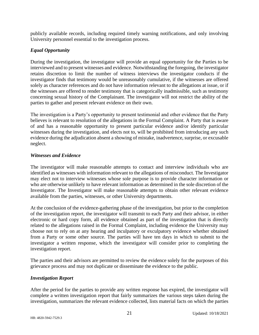publicly available records, including required timely warning notifications, and only involving University personnel essential to the investigation process.

# *Equal Opportunity*

During the investigation, the investigator will provide an equal opportunity for the Parties to be interviewed and to present witnesses and evidence. Notwithstanding the foregoing, the investigator retains discretion to limit the number of witness interviews the investigator conducts if the investigator finds that testimony would be unreasonably cumulative, if the witnesses are offered solely as character references and do not have information relevant to the allegations at issue, or if the witnesses are offered to render testimony that is categorically inadmissible, such as testimony concerning sexual history of the Complainant. The investigator will not restrict the ability of the parties to gather and present relevant evidence on their own.

The investigation is a Party's opportunity to present testimonial and other evidence that the Party believes is relevant to resolution of the allegations in the Formal Complaint. A Party that is aware of and has a reasonable opportunity to present particular evidence and/or identify particular witnesses during the investigation, and elects not to, will be prohibited from introducing any such evidence during the adjudication absent a showing of mistake, inadvertence, surprise, or excusable neglect.

# *Witnesses and Evidence*

The investigator will make reasonable attempts to contact and interview individuals who are identified as witnesses with information relevant to the allegations of misconduct. The Investigator may elect not to interview witnesses whose sole purpose is to provide character information or who are otherwise unlikely to have relevant information as determined in the sole discretion of the Investigator. The Investigator will make reasonable attempts to obtain other relevant evidence available from the parties, witnesses, or other University departments.

At the conclusion of the evidence-gathering phase of the investigation, but prior to the completion of the investigation report, the investigator will transmit to each Party and their advisor, in either electronic or hard copy form, all evidence obtained as part of the investigation that is directly related to the allegations raised in the Formal Complaint, including evidence the University may choose not to rely on at any hearing and inculpatory or exculpatory evidence whether obtained from a Party or some other source. The parties will have ten days in which to submit to the investigator a written response, which the investigator will consider prior to completing the investigation report.

The parties and their advisors are permitted to review the evidence solely for the purposes of this grievance process and may not duplicate or disseminate the evidence to the public.

# *Investigation Report*

After the period for the parties to provide any written response has expired, the investigator will complete a written investigation report that fairly summarizes the various steps taken during the investigation, summarizes the relevant evidence collected, lists material facts on which the parties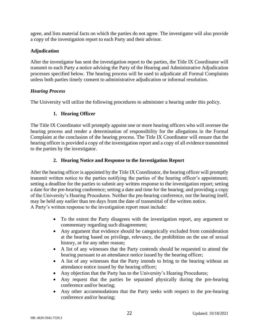agree, and lists material facts on which the parties do not agree. The investigator will also provide a copy of the investigation report to each Party and their advisor.

# **Adjudication**

After the investigator has sent the investigation report to the parties, the Title IX Coordinator will transmit to each Party a notice advising the Party of the Hearing and Administrative Adjudication processes specified below. The hearing process will be used to adjudicate all Formal Complaints unless both parties timely consent to administrative adjudication or informal resolution.

# *Hearing Process*

The University will utilize the following procedures to administer a hearing under this policy.

# **1. Hearing Officer**

The Title IX Coordinator will promptly appoint one or more hearing officers who will oversee the hearing process and render a determination of responsibility for the allegations in the Formal Complaint at the conclusion of the hearing process. The Title IX Coordinator will ensure that the hearing officer is provided a copy of the investigation report and a copy of all evidence transmitted to the parties by the investigator.

# **2. Hearing Notice and Response to the Investigation Report**

After the hearing officer is appointed by the Title IX Coordinator, the hearing officer will promptly transmit written notice to the parties notifying the parties of the hearing officer's appointment; setting a deadline for the parties to submit any written response to the investigation report; setting a date for the pre-hearing conference; setting a date and time for the hearing; and providing a copy of the University's Hearing Procedures. Neither the pre-hearing conference, nor the hearing itself, may be held any earlier than ten days from the date of transmittal of the written notice. A Party's written response to the investigation report must include:

- To the extent the Party disagrees with the investigation report, any argument or commentary regarding such disagreement;
- Any argument that evidence should be categorically excluded from consideration at the hearing based on privilege, relevancy, the prohibition on the use of sexual history, or for any other reason;
- A list of any witnesses that the Party contends should be requested to attend the hearing pursuant to an attendance notice issued by the hearing officer;
- A list of any witnesses that the Party intends to bring to the hearing without an attendance notice issued by the hearing officer;
- Any objection that the Party has to the University's Hearing Procedures;
- Any request that the parties be separated physically during the pre-hearing conference and/or hearing;
- Any other accommodations that the Party seeks with respect to the pre-hearing conference and/or hearing;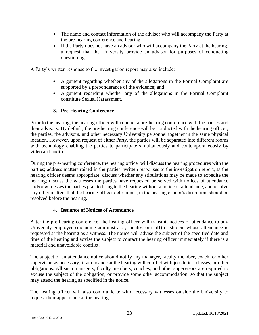- The name and contact information of the advisor who will accompany the Party at the pre-hearing conference and hearing;
- If the Party does not have an advisor who will accompany the Party at the hearing, a request that the University provide an advisor for purposes of conducting questioning.

A Party's written response to the investigation report may also include:

- Argument regarding whether any of the allegations in the Formal Complaint are supported by a preponderance of the evidence; and
- Argument regarding whether any of the allegations in the Formal Complaint constitute Sexual Harassment.

# **3. Pre-Hearing Conference**

Prior to the hearing, the hearing officer will conduct a pre-hearing conference with the parties and their advisors. By default, the pre-hearing conference will be conducted with the hearing officer, the parties, the advisors, and other necessary University personnel together in the same physical location. However, upon request of either Party, the parties will be separated into different rooms with technology enabling the parties to participate simultaneously and contemporaneously by video and audio.

During the pre-hearing conference, the hearing officer will discuss the hearing procedures with the parties; address matters raised in the parties' written responses to the investigation report, as the hearing officer deems appropriate; discuss whether any stipulations may be made to expedite the hearing; discuss the witnesses the parties have requested be served with notices of attendance and/or witnesses the parties plan to bring to the hearing without a notice of attendance; and resolve any other matters that the hearing officer determines, in the hearing officer's discretion, should be resolved before the hearing.

# **4. Issuance of Notices of Attendance**

After the pre-hearing conference, the hearing officer will transmit notices of attendance to any University employee (including administrator, faculty, or staff) or student whose attendance is requested at the hearing as a witness. The notice will advise the subject of the specified date and time of the hearing and advise the subject to contact the hearing officer immediately if there is a material and unavoidable conflict.

The subject of an attendance notice should notify any manager, faculty member, coach, or other supervisor, as necessary, if attendance at the hearing will conflict with job duties, classes, or other obligations. All such managers, faculty members, coaches, and other supervisors are required to excuse the subject of the obligation, or provide some other accommodation, so that the subject may attend the hearing as specified in the notice.

The hearing officer will also communicate with necessary witnesses outside the University to request their appearance at the hearing.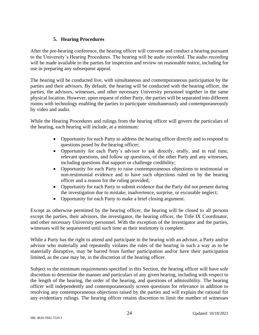# **5. Hearing Procedures**

After the pre-hearing conference, the hearing officer will convene and conduct a hearing pursuant to the University's Hearing Procedures. The hearing will be audio recorded. The audio recording will be made available to the parties for inspection and review on reasonable notice, including for use in preparing any subsequent appeal.

The hearing will be conducted live, with simultaneous and contemporaneous participation by the parties and their advisors. By default, the hearing will be conducted with the hearing officer, the parties, the advisors, witnesses, and other necessary University personnel together in the same physical location. However, upon request of either Party, the parties will be separated into different rooms with technology enabling the parties to participate simultaneously and contemporaneously by video and audio.

While the Hearing Procedures and rulings from the hearing officer will govern the particulars of the hearing, each hearing will include, at a minimum:

- Opportunity for each Party to address the hearing officer directly and to respond to questions posed by the hearing officer;
- Opportunity for each Party's advisor to ask directly, orally, and in real time, relevant questions, and follow up questions, of the other Party and any witnesses, including questions that support or challenge credibility;
- Opportunity for each Party to raise contemporaneous objections to testimonial or non-testimonial evidence and to have such objections ruled on by the hearing officer and a reason for the ruling provided;
- Opportunity for each Party to submit evidence that the Party did not present during the investigation due to mistake, inadvertence, surprise, or excusable neglect;
- Opportunity for each Party to make a brief closing argument.

Except as otherwise permitted by the hearing officer, the hearing will be closed to all persons except the parties, their advisors, the investigator, the hearing officer, the Title IX Coordinator, and other necessary University personnel. With the exception of the investigator and the parties, witnesses will be sequestered until such time as their testimony is complete.

While a Party has the right to attend and participate in the hearing with an advisor, a Party and/or advisor who materially and repeatedly violates the rules of the hearing in such a way as to be materially disruptive, may be barred from further participation and/or have their participation limited, as the case may be, in the discretion of the hearing officer.

Subject to the minimum requirements specified in this Section, the hearing officer will have sole discretion to determine the manner and particulars of any given hearing, including with respect to the length of the hearing, the order of the hearing, and questions of admissibility. The hearing officer will independently and contemporaneously screen questions for relevance in addition to resolving any contemporaneous objections raised by the parties and will explain the rational for any evidentiary rulings. The hearing officer retains discretion to limit the number of witnesses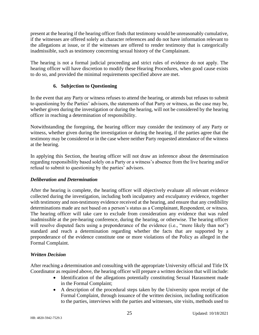present at the hearing if the hearing officer finds that testimony would be unreasonably cumulative, if the witnesses are offered solely as character references and do not have information relevant to the allegations at issue, or if the witnesses are offered to render testimony that is categorically inadmissible, such as testimony concerning sexual history of the Complainant.

The hearing is not a formal judicial proceeding and strict rules of evidence do not apply. The hearing officer will have discretion to modify these Hearing Procedures, when good cause exists to do so, and provided the minimal requirements specified above are met.

# **6. Subjection to Questioning**

In the event that any Party or witness refuses to attend the hearing, or attends but refuses to submit to questioning by the Parties' advisors, the statements of that Party or witness, as the case may be, whether given during the investigation or during the hearing, will not be considered by the hearing officer in reaching a determination of responsibility.

Notwithstanding the foregoing, the hearing officer may consider the testimony of any Party or witness, whether given during the investigation or during the hearing, if the parties agree that the testimony may be considered or in the case where neither Party requested attendance of the witness at the hearing.

In applying this Section, the hearing officer will not draw an inference about the determination regarding responsibility based solely on a Party or a witness's absence from the live hearing and/or refusal to submit to questioning by the parties' advisors.

# *Deliberation and Determination*

After the hearing is complete, the hearing officer will objectively evaluate all relevant evidence collected during the investigation, including both inculpatory and exculpatory evidence, together with testimony and non-testimony evidence received at the hearing, and ensure that any credibility determinations made are not based on a person's status as a Complainant, Respondent, or witness. The hearing officer will take care to exclude from consideration any evidence that was ruled inadmissible at the pre-hearing conference, during the hearing, or otherwise. The hearing officer will resolve disputed facts using a preponderance of the evidence (i.e., "more likely than not") standard and reach a determination regarding whether the facts that are supported by a preponderance of the evidence constitute one or more violations of the Policy as alleged in the Formal Complaint.

# *Written Decision*

After reaching a determination and consulting with the appropriate University official and Title IX Coordinator as required above, the hearing officer will prepare a written decision that will include:

- Identification of the allegations potentially constituting Sexual Harassment made in the Formal Complaint;
- A description of the procedural steps taken by the University upon receipt of the Formal Complaint, through issuance of the written decision, including notification to the parties, interviews with the parties and witnesses, site visits, methods used to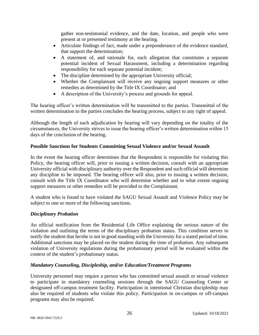gather non-testimonial evidence, and the date, location, and people who were present at or presented testimony at the hearing.

- Articulate findings of fact, made under a preponderance of the evidence standard, that support the determination;
- A statement of, and rationale for, each allegation that constitutes a separate potential incident of Sexual Harassment, including a determination regarding responsibility for each separate potential incident;
- The discipline determined by the appropriate University official;
- Whether the Complainant will receive any ongoing support measures or other remedies as determined by the Title IX Coordinator; and
- A description of the University's process and grounds for appeal.

The hearing officer's written determination will be transmitted to the parties. Transmittal of the written determination to the parties concludes the hearing process, subject to any right of appeal.

Although the length of each adjudication by hearing will vary depending on the totality of the circumstances, the University strives to issue the hearing officer's written determination within 15 days of the conclusion of the hearing.

# **Possible Sanctions for Students Committing Sexual Violence and/or Sexual Assault**

In the event the hearing officer determines that the Respondent is responsible for violating this Policy, the hearing officer will, prior to issuing a written decision, consult with an appropriate University official with disciplinary authority over the Respondent and such official will determine any discipline to be imposed. The hearing officer will also, prior to issuing a written decision, consult with the Title IX Coordinator who will determine whether and to what extent ongoing support measures or other remedies will be provided to the Complainant.

A student who is found to have violated the SAGU Sexual Assault and Violence Policy may be subject to one or more of the following sanctions.

# *Disciplinary Probation*

An official notification from the Residential Life Office explaining the serious nature of the violation and outlining the terms of the disciplinary probation status. This condition serves to notify the student that he/she is not in good standing with the University for a stated period of time. Additional sanctions may be placed on the student during the time of probation. Any subsequent violation of University regulations during the probationary period will be evaluated within the context of the student's probationary status.

# *Mandatory Counseling, Discipleship, and/or Education/Treatment Programs*

University personnel may require a person who has committed sexual assault or sexual violence to participate in mandatory counseling sessions through the SAGU Counseling Center or designated off-campus treatment facility. Participation in intentional Christian discipleship may also be required of students who violate this policy. Participation in on-campus or off-campus programs may also be required.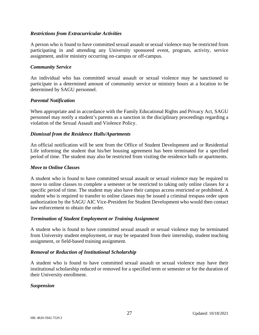# *Restrictions from Extracurricular Activities*

A person who is found to have committed sexual assault or sexual violence may be restricted from participating in and attending any University sponsored event, program, activity, service assignment, and/or ministry occurring on-campus or off-campus.

# *Community Service*

An individual who has committed sexual assault or sexual violence may be sanctioned to participate in a determined amount of community service or ministry hours at a location to be determined by SAGU personnel.

# *Parental Notification*

When appropriate and in accordance with the Family Educational Rights and Privacy Act, SAGU personnel may notify a student's parents as a sanction in the disciplinary proceedings regarding a violation of the Sexual Assault and Violence Policy.

# *Dismissal from the Residence Halls/Apartments*

An official notification will be sent from the Office of Student Development and or Residential Life informing the student that his/her housing agreement has been terminated for a specified period of time. The student may also be restricted from visiting the residence halls or apartments.

#### *Move to Online Classes*

A student who is found to have committed sexual assault or sexual violence may be required to move to online classes to complete a semester or be restricted to taking only online classes for a specific period of time. The student may also have their campus access restricted or prohibited. A student who is required to transfer to online classes may be issued a criminal trespass order upon authorization by the SAGU AIC Vice-President for Student Development who would then contact law enforcement to obtain the order.

# *Termination of Student Employment or Training Assignment*

A student who is found to have committed sexual assault or sexual violence may be terminated from University student employment, or may be separated from their internship, student teaching assignment, or field-based training assignment.

# *Removal or Reduction of Institutional Scholarship*

A student who is found to have committed sexual assault or sexual violence may have their institutional scholarship reduced or removed for a specified term or semester or for the duration of their University enrollment.

# *Suspension*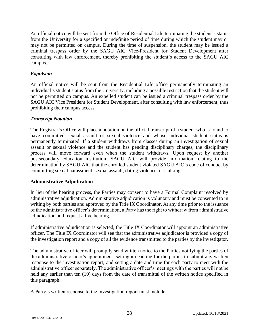An official notice will be sent from the Office of Residential Life terminating the student's status from the University for a specified or indefinite period of time during which the student may or may not be permitted on campus. During the time of suspension, the student may be issued a criminal trespass order by the SAGU AIC Vice-President for Student Development after consulting with law enforcement, thereby prohibiting the student's access to the SAGU AIC campus.

# *Expulsion*

An official notice will be sent from the Residential Life office permanently terminating an individual's student status from the University, including a possible restriction that the student will not be permitted on campus. An expelled student can be issued a criminal trespass order by the SAGU AIC Vice President for Student Development, after consulting with law enforcement, thus prohibiting their campus access.

# *Transcript Notation*

The Registrar's Office will place a notation on the official transcript of a student who is found to have committed sexual assault or sexual violence and whose individual student status is permanently terminated. If a student withdraws from classes during an investigation of sexual assault or sexual violence and the student has pending disciplinary charges, the disciplinary process will move forward even when the student withdraws. Upon request by another postsecondary education institution, SAGU AIC will provide information relating to the determination by SAGU AIC that the enrolled student violated SAGU AIC's code of conduct by committing sexual harassment, sexual assault, dating violence, or stalking.

# **Administrative Adjudication**

In lieu of the hearing process, the Parties may consent to have a Formal Complaint resolved by administrative adjudication. Administrative adjudication is voluntary and must be consented to in writing by both parties and approved by the Title IX Coordinator. At any time prior to the issuance of the administrative officer's determination, a Party has the right to withdraw from administrative adjudication and request a live hearing.

If administrative adjudication is selected, the Title IX Coordinator will appoint an administrative officer. The Title IX Coordinator will see that the administrative adjudicator is provided a copy of the investigation report and a copy of all the evidence transmitted to the parties by the investigator.

The administrative officer will promptly send written notice to the Parties notifying the parties of the administrative officer's appointment; setting a deadline for the parties to submit any written response to the investigation report; and setting a date and time for each party to meet with the administrative officer separately. The administrative officer's meetings with the parties will not be held any earlier than ten (10) days from the date of transmittal of the written notice specified in this paragraph.

A Party's written response to the investigation report must include: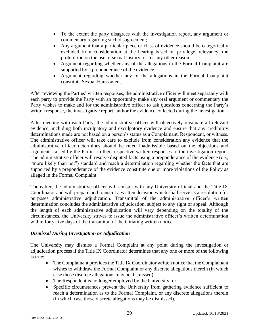- To the extent the party disagrees with the investigation report, any argument or commentary regarding such disagreement;
- Any argument that a particular piece or class of evidence should be categorically excluded from consideration at the hearing based on privilege, relevancy, the prohibition on the use of sexual history, or for any other reason;
- Argument regarding whether any of the allegations in the Formal Complaint are supported by a preponderance of the evidence;
- Argument regarding whether any of the allegations in the Formal Complaint constitute Sexual Harassment.

After reviewing the Parties' written responses, the administrative officer will meet separately with each party to provide the Party with an opportunity make any oral argument or commentary the Party wishes to make and for the administrative officer to ask questions concerning the Party's written response, the investigative report, and/or the evidence collected during the investigation.

After meeting with each Party, the administrative officer will objectively revaluate all relevant evidence, including both inculpatory and exculpatory evidence and ensure that any credibility determinations made are not based on a person's status as a Complainant, Respondent, or witness. The administrative officer will take care to exclude from consideration any evidence that the administrative officer determines should be ruled inadmissible based on the objections and arguments raised by the Parties in their respective written responses to the investigation report. The administrative officer will resolve disputed facts using a preponderance of the evidence (*i.e.*, "more likely than not") standard and reach a determination regarding whether the facts that are supported by a preponderance of the evidence constitute one or more violations of the Policy as alleged in the Formal Complaint.

Thereafter, the administrative officer will consult with any University official and the Title IX Coordinator and will prepare and transmit a written decision which shall serve as a resolution for purposes administrative adjudication. Transmittal of the administrative officer's written determination concludes the administrative adjudication, subject to any right of appeal. Although the length of each administrative adjudication will vary depending on the totality of the circumstances, the University strives to issue the administrative officer's written determination within forty-five days of the transmittal of the initiating written notice.

# *Dismissal During Investigation or Adjudication*

The University may dismiss a Formal Complaint at any point during the investigation or adjudication process if the Title IX Coordinator determines that any one or more of the following is true:

- The Complainant provides the Title IX Coordinator written notice that the Complainant wishes to withdraw the Formal Complaint or any discrete allegations therein (in which case those discrete allegations may be dismissed);
- The Respondent is no longer employed by the University; or
- Specific circumstances prevent the University from gathering evidence sufficient to reach a determination as to the Formal Complaint, or any discrete allegations therein (in which case those discrete allegations may be dismissed).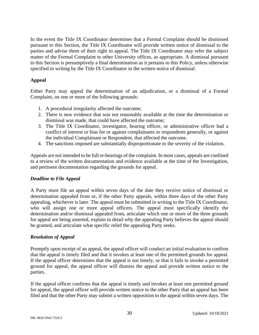In the event the Title IX Coordinator determines that a Formal Complaint should be dismissed pursuant to this Section, the Title IX Coordinator will provide written notice of dismissal to the parties and advise them of their right to appeal. The Title IX Coordinator may refer the subject matter of the Formal Complaint to other University offices, as appropriate. A dismissal pursuant to this Section is presumptively a final determination as it pertains to this Policy, unless otherwise specified in writing by the Title IX Coordinator in the written notice of dismissal.

# **Appeal**

Either Party may appeal the determination of an adjudication, or a dismissal of a Formal Complaint, on one or more of the following grounds:

- 1. A procedural irregularity affected the outcome;
- 2. There is new evidence that was not reasonably available at the time the determination or dismissal was made, that could have affected the outcome;
- 3. The Title IX Coordinator, investigator, hearing officer, or administrative officer had a conflict of interest or bias for or against complainants or respondents generally, or against the individual Complainant or Respondent, that affected the outcome.
- 4. The sanctions imposed are substantially disproportionate to the severity of the violation.

Appeals are not intended to be full re-hearings of the complaint. In most cases, appeals are confined to a review of the written documentation and evidence available at the time of the Investigation, and pertinent documentation regarding the grounds for appeal.

# *Deadline to File Appeal*

A Party must file an appeal within seven days of the date they receive notice of dismissal or determination appealed from or, if the other Party appeals, within three days of the other Party appealing, whichever is later. The appeal must be submitted in writing to the Title IX Coordinator, who will assign one or more appeal officers. The appeal must specifically identify the determination and/or dismissal appealed from, articulate which one or more of the three grounds for appeal are being asserted, explain in detail why the appealing Party believes the appeal should be granted, and articulate what specific relief the appealing Party seeks.

# *Resolution of Appeal*

Promptly upon receipt of an appeal, the appeal officer will conduct an initial evaluation to confirm that the appeal is timely filed and that it invokes at least one of the permitted grounds for appeal. If the appeal officer determines that the appeal is not timely, or that it fails to invoke a permitted ground for appeal, the appeal officer will dismiss the appeal and provide written notice to the parties.

If the appeal officer confirms that the appeal is timely and invokes at least one permitted ground for appeal, the appeal officer will provide written notice to the other Party that an appeal has been filed and that the other Party may submit a written opposition to the appeal within seven days. The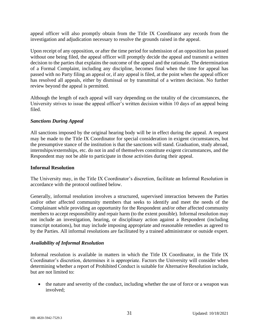appeal officer will also promptly obtain from the Title IX Coordinator any records from the investigation and adjudication necessary to resolve the grounds raised in the appeal.

Upon receipt of any opposition, or after the time period for submission of an opposition has passed without one being filed, the appeal officer will promptly decide the appeal and transmit a written decision to the parties that explains the outcome of the appeal and the rationale. The determination of a Formal Complaint, including any discipline, becomes final when the time for appeal has passed with no Party filing an appeal or, if any appeal is filed, at the point when the appeal officer has resolved all appeals, either by dismissal or by transmittal of a written decision. No further review beyond the appeal is permitted.

Although the length of each appeal will vary depending on the totality of the circumstances, the University strives to issue the appeal officer's written decision within 10 days of an appeal being filed.

# *Sanctions During Appeal*

All sanctions imposed by the original hearing body will be in effect during the appeal. A request may be made to the Title IX Coordinator for special consideration in exigent circumstances, but the presumptive stance of the institution is that the sanctions will stand. Graduation, study abroad, internships/externships, etc. do not in and of themselves constitute exigent circumstances, and the Respondent may not be able to participate in those activities during their appeal.

# **Informal Resolution**

The University may, in the Title IX Coordinator's discretion, facilitate an Informal Resolution in accordance with the protocol outlined below.

Generally, informal resolution involves a structured, supervised interaction between the Parties and/or other affected community members that seeks to identify and meet the needs of the Complainant while providing an opportunity for the Respondent and/or other affected community members to accept responsibility and repair harm (to the extent possible). Informal resolution may not include an investigation, hearing, or disciplinary action against a Respondent (including transcript notations), but may include imposing appropriate and reasonable remedies as agreed to by the Parties. All informal resolutions are facilitated by a trained administrator or outside expert.

# *Availability of Informal Resolution*

Informal resolution is available in matters in which the Title IX Coordinator, in the Title IX Coordinator's discretion, determines it is appropriate. Factors the University will consider when determining whether a report of Prohibited Conduct is suitable for Alternative Resolution include, but are not limited to:

• the nature and severity of the conduct, including whether the use of force or a weapon was involved;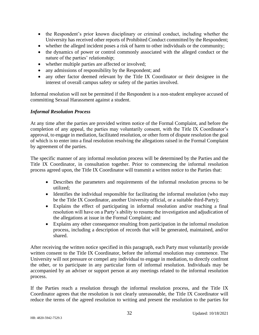- the Respondent's prior known disciplinary or criminal conduct, including whether the University has received other reports of Prohibited Conduct committed by the Respondent;
- whether the alleged incident poses a risk of harm to other individuals or the community;
- the dynamics of power or control commonly associated with the alleged conduct or the nature of the parties' relationship;
- whether multiple parties are affected or involved;
- any admissions of responsibility by the Respondent; and
- any other factor deemed relevant by the Title IX Coordinator or their designee in the interest of overall campus safety or safety of the parties involved.

Informal resolution will not be permitted if the Respondent is a non-student employee accused of committing Sexual Harassment against a student.

# *Informal Resolution Process*

At any time after the parties are provided written notice of the Formal Complaint, and before the completion of any appeal, the parties may voluntarily consent, with the Title IX Coordinator's approval, to engage in mediation, facilitated resolution, or other form of dispute resolution the goal of which is to enter into a final resolution resolving the allegations raised in the Formal Complaint by agreement of the parties.

The specific manner of any informal resolution process will be determined by the Parties and the Title IX Coordinator, in consultation together. Prior to commencing the informal resolution process agreed upon, the Title IX Coordinator will transmit a written notice to the Parties that:

- Describes the parameters and requirements of the informal resolution process to be utilized;
- Identifies the individual responsible for facilitating the informal resolution (who may be the Title IX Coordinator, another University official, or a suitable third-Party);
- Explains the effect of participating in informal resolution and/or reaching a final resolution will have on a Party's ability to resume the investigation and adjudication of the allegations at issue in the Formal Complaint; and
- Explains any other consequence resulting from participation in the informal resolution process, including a description of records that will be generated, maintained, and/or shared.

After receiving the written notice specified in this paragraph, each Party must voluntarily provide written consent to the Title IX Coordinator, before the informal resolution may commence. The University will not pressure or compel any individual to engage in mediation, to directly confront the other, or to participate in any particular form of informal resolution. Individuals may be accompanied by an adviser or support person at any meetings related to the informal resolution process.

If the Parties reach a resolution through the informal resolution process, and the Title IX Coordinator agrees that the resolution is not clearly unreasonable, the Title IX Coordinator will reduce the terms of the agreed resolution to writing and present the resolution to the parties for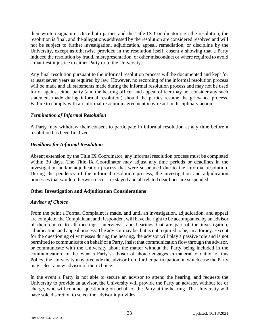their written signature. Once both parties and the Title IX Coordinator sign the resolution, the resolution is final, and the allegations addressed by the resolution are considered resolved and will not be subject to further investigation, adjudication, appeal, remediation, or discipline by the University, except as otherwise provided in the resolution itself, absent a showing that a Party induced the resolution by fraud, misrepresentation, or other misconduct or where required to avoid a manifest injustice to either Party or to the University.

Any final resolution pursuant to the informal resolution process will be documented and kept for at least seven years as required by law. However, no recording of the informal resolution process will be made and all statements made during the informal resolution process and may not be used for or against either party (and the hearing officer and appeal officer may not consider any such statement made during informal resolution) should the parties resume the grievance process. Failure to comply with an informal resolution agreement may result in disciplinary action.

# *Termination of Informal Resolution*

A Party may withdraw their consent to participate in informal resolution at any time before a resolution has been finalized.

# *Deadlines for Informal Resolution*

Absent extension by the Title IX Coordinator, any informal resolution process must be completed within 30 days. The Title IX Coordinator may adjust any time periods or deadlines in the investigation and/or adjudication process that were suspended due to the informal resolution. During the pendency of the informal resolution process, the investigation and adjudication processes that would otherwise occur are stayed and all related deadlines are suspended.

# **Other Investigation and Adjudication Considerations**

# *Advisor of Choice*

From the point a Formal Complaint is made, and until an investigation, adjudication, and appeal are complete, the Complainant and Respondent will have the right to be accompanied by an advisor of their choice to all meetings, interviews, and hearings that are part of the investigation, adjudication, and appeal process. The advisor may be, but is not required to be, an attorney. Except for the questioning of witnesses during the hearing, the advisor will play a passive role and is not permitted to communicate on behalf of a Party, insist that communication flow through the advisor, or communicate with the University about the matter without the Party being included in the communication. In the event a Party's advisor of choice engages in material violation of this Policy, the University may preclude the advisor from further participation, in which case the Party may select a new advisor of their choice.

In the event a Party is not able to secure an advisor to attend the hearing, and requests the University to provide an advisor, the University will provide the Party an advisor, without fee or charge, who will conduct questioning on behalf of the Party at the hearing. The University will have sole discretion to select the advisor it provides.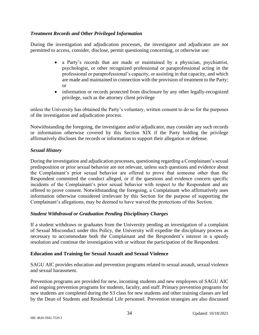# *Treatment Records and Other Privileged Information*

During the investigation and adjudication processes, the investigator and adjudicator are not permitted to access, consider, disclose, permit questioning concerning, or otherwise use:

- a Party's records that are made or maintained by a physician, psychiatrist, psychologist, or other recognized professional or paraprofessional acting in the professional or paraprofessional's capacity, or assisting in that capacity, and which are made and maintained in connection with the provision of treatment to the Party; or
- information or records protected from disclosure by any other legally-recognized privilege, such as the attorney client privilege

unless the University has obtained the Party's voluntary, written consent to do so for the purposes of the investigation and adjudication process.

Notwithstanding the foregoing, the investigator and/or adjudicator, may consider any such records or information otherwise covered by this Section XIX if the Party holding the privilege affirmatively discloses the records or information to support their allegation or defense.

# *Sexual History*

During the investigation and adjudication processes, questioning regarding a Complainant's sexual predisposition or prior sexual behavior are not relevant, unless such questions and evidence about the Complainant's prior sexual behavior are offered to prove that someone other than the Respondent committed the conduct alleged, or if the questions and evidence concern specific incidents of the Complainant's prior sexual behavior with respect to the Respondent and are offered to prove consent. Notwithstanding the foregoing, a Complainant who affirmatively uses information otherwise considered irrelevant by this Section for the purpose of supporting the Complainant's allegations, may be deemed to have waived the protections of this Section.

# *Student Withdrawal or Graduation Pending Disciplinary Charges*

If a student withdraws or graduates from the University pending an investigation of a complaint of Sexual Misconduct under this Policy, the University will expedite the disciplinary process as necessary to accommodate both the Complainant and the Respondent's interest in a speedy resolution and continue the investigation with or without the participation of the Respondent.

# **Education and Training for Sexual Assault and Sexual Violence**

SAGU AIC provides education and prevention programs related to sexual assault, sexual violence and sexual harassment.

Prevention programs are provided for new, incoming students and new employees of SAGU AIC and ongoing prevention programs for students, faculty, and staff. Primary prevention programs for new students are completed during the S3 class for new students and other training classes are led by the Dean of Students and Residential Life personnel. Prevention strategies are also discussed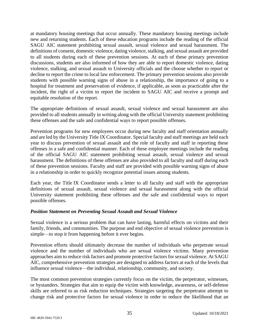at mandatory housing meetings that occur annually. These mandatory housing meetings include new and returning students. Each of these education programs include the reading of the official SAGU AIC statement prohibiting sexual assault, sexual violence and sexual harassment. The definitions of consent, domestic violence, dating violence, stalking, and sexual assault are provided to all students during each of these prevention sessions. At each of these primary prevention discussions, students are also informed of how they are able to report domestic violence, dating violence, stalking, and sexual assault to University officials and the choose whether to report or decline to report the crime to local law enforcement. The primary prevention sessions also provide students with possible warning signs of abuse in a relationship, the importance of going to a hospital for treatment and preservation of evidence, if applicable, as soon as practicable after the incident, the right of a victim to report the incident to SAGU AIC and receive a prompt and equitable resolution of the report.

The appropriate definitions of sexual assault, sexual violence and sexual harassment are also provided to all students annually in writing along with the official University statement prohibiting these offenses and the safe and confidential ways to report possible offenses.

Prevention programs for new employees occur during new faculty and staff orientation annually and are led by the University Title IX Coordinator. Special faculty and staff meetings are held each year to discuss prevention of sexual assault and the role of faculty and staff in reporting these offenses in a safe and confidential manner. Each of these employee meetings include the reading of the official SAGU AIC statement prohibiting sexual assault, sexual violence and sexual harassment. The definitions of these offenses are also provided to all faculty and staff during each of these prevention sessions. Faculty and staff are provided with possible warning signs of abuse in a relationship in order to quickly recognize potential issues among students.

Each year, the Title IX Coordinator sends a letter to all faculty and staff with the appropriate definitions of sexual assault, sexual violence and sexual harassment along with the official University statement prohibiting these offenses and the safe and confidential ways to report possible offenses.

# *Position Statement on Preventing Sexual Assault and Sexual Violence*

Sexual violence is a serious problem that can have lasting, harmful effects on victims and their family, friends, and communities. The purpose and end objective of sexual violence prevention is simple—to stop it from happening before it ever begins.

Prevention efforts should ultimately decrease the number of individuals who perpetrate sexual violence and the number of individuals who are sexual violence victims. Many prevention approaches aim to reduce risk factors and promote protective factors for sexual violence. At SAGU AIC, comprehensive prevention strategies are designed to address factors at each of the levels that influence sexual violence—the individual, relationship, community, and society.

The most common prevention strategies currently focus on the victim, the perpetrator, witnesses, or bystanders. Strategies that aim to equip the victim with knowledge, awareness, or self-defense skills are referred to as risk reduction techniques. Strategies targeting the perpetrator attempt to change risk and protective factors for sexual violence in order to reduce the likelihood that an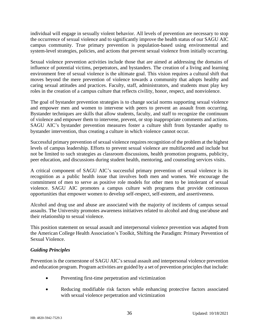individual will engage in sexually violent behavior. All levels of prevention are necessary to stop the occurrence of sexual violence and to significantly improve the health status of our SAGU AIC campus community. True primary prevention is population-based using environmental and system-level strategies, policies, and actions that prevent sexual violence from initially occurring.

Sexual violence prevention activities include those that are aimed at addressing the domains of influence of potential victims, perpetrators, and bystanders. The creation of a living and learning environment free of sexual violence is the ultimate goal. This vision requires a cultural shift that moves beyond the mere prevention of violence towards a community that adopts healthy and caring sexual attitudes and practices. Faculty, staff, administrators, and students must play key roles in the creation of a campus culture that reflects civility, honor, respect, and nonviolence.

The goal of bystander prevention strategies is to change social norms supporting sexual violence and empower men and women to intervene with peers to prevent an assault from occurring. Bystander techniques are skills that allow students, faculty, and staff to recognize the continuum of violence and empower them to intervene, prevent, or stop inappropriate comments and actions. SAGU AIC's bystander prevention measures foster a culture shift from bystander apathy to bystander intervention, thus creating a culture in which violence cannot occur.

Successful primary prevention of sexual violence requires recognition of the problem at the highest levels of campus leadership. Efforts to prevent sexual violence are multifaceted and include but not be limited to such strategies as classroom discussions, health promotion programs, publicity, peer education, and discussions during student health, mentoring, and counseling services visits.

A critical component of SAGU AIC's successful primary prevention of sexual violence is its recognition as a public health issue that involves both men and women. We encourage the commitment of men to serve as positive role models for other men to be intolerant of sexual violence. SAGU AIC promotes a campus culture with programs that provide continuous opportunities that empower women to develop self-respect, self-esteem, and assertiveness.

Alcohol and drug use and abuse are associated with the majority of incidents of campus sexual assaults. The University promotes awareness initiatives related to alcohol and drug use/abuse and their relationship to sexual violence.

This position statement on sexual assault and interpersonal violence prevention was adapted from the American College Health Association's Toolkit, Shifting the Paradigm: Primary Prevention of Sexual Violence.

# *Guiding Principles*

Prevention is the cornerstone of SAGU AIC's sexual assault and interpersonal violence prevention and education program. Program activities are guided by a set of prevention principles that include:

- Preventing first-time perpetration and victimization
- Reducing modifiable risk factors while enhancing protective factors associated with sexual violence perpetration and victimization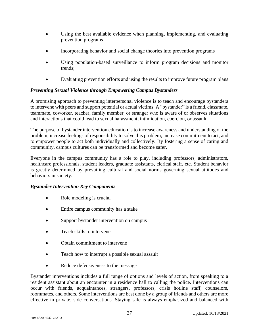- Using the best available evidence when planning, implementing, and evaluating prevention programs
- Incorporating behavior and social change theories into prevention programs
- Using population-based surveillance to inform program decisions and monitor trends;
- Evaluating prevention efforts and using the results to improve future program plans

# *Preventing Sexual Violence through Empowering Campus Bystanders*

A promising approach to preventing interpersonal violence is to teach and encourage bystanders to intervene with peers and support potential or actual victims. A "bystander" is a friend, classmate, teammate, coworker, teacher, family member, or stranger who is aware of or observes situations and interactions that could lead to sexual harassment, intimidation, coercion, or assault.

The purpose of bystander intervention education is to increase awareness and understanding of the problem, increase feelings of responsibility to solve this problem, increase commitment to act, and to empower people to act both individually and collectively. By fostering a sense of caring and community, campus cultures can be transformed and become safer.

Everyone in the campus community has a role to play, including professors, administrators, healthcare professionals, student leaders, graduate assistants, clerical staff, etc. Student behavior is greatly determined by prevailing cultural and social norms governing sexual attitudes and behaviors in society.

# *Bystander Intervention Key Components*

- Role modeling is crucial
- Entire campus community has a stake
- Support by stander intervention on campus
- Teach skills to intervene
- Obtain commitment to intervene
- Teach how to interrupt a possible sexual assault
- Reduce defensiveness to the message

Bystander interventions includes a full range of options and levels of action, from speaking to a resident assistant about an encounter in a residence hall to calling the police. Interventions can occur with friends, acquaintances, strangers, professors, crisis hotline staff, counselors, roommates, and others. Some interventions are best done by a group of friends and others are more effective in private, side conversations. Staying safe is always emphasized and balanced with